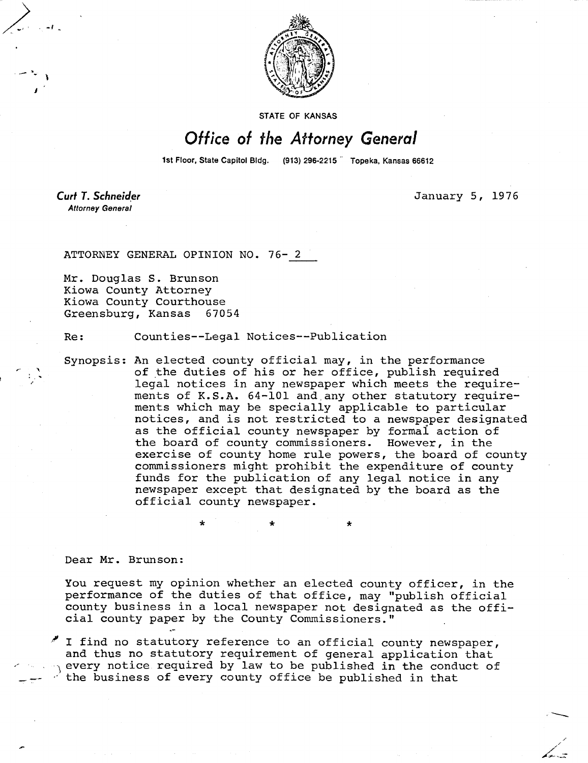

STATE OF KANSAS

## Office of the Attorney General

1st Floor, State Capitol Bldg. (913) 296-2215 Topeka, Kansas 66612

Curt T. Schneider **Attorney General** 

January 5, 1976

ATTORNEY GENERAL OPINION NO. 76- 2

Mr. Douglas S. Brunson Kiowa County Attorney Kiowa County Courthouse Greensburg, Kansas 67054

Re: Counties--Legal Notices--Publication

Synopsis: An elected county official may, in the performance of the duties of his or her office, publish required legal notices in any newspaper which meets the requirements of K.S.A. 64-101 and any other statutory requirements which may be specially applicable to particular notices, and is not restricted to a newspaper designated as the official county newspaper by formal action of the board of county commissioners. However, in the exercise of county home rule powers, the board of county commissioners might prohibit the expenditure of county funds for the publication of any legal notice in any newspaper except that designated by the board as the official county newspaper.

Dear Mr. Brunson:

You request my opinion whether an elected county officer, in the performance of the duties of that office, may "publish official county business in a local newspaper not designated as the official county paper by the County Commissioners."

 $'$  I find no statutory reference to an official county newspaper, and thus no statutory requirement of general application that  $\eta$  every notice required by law to be published in the conduct of the business of every county office be published in that